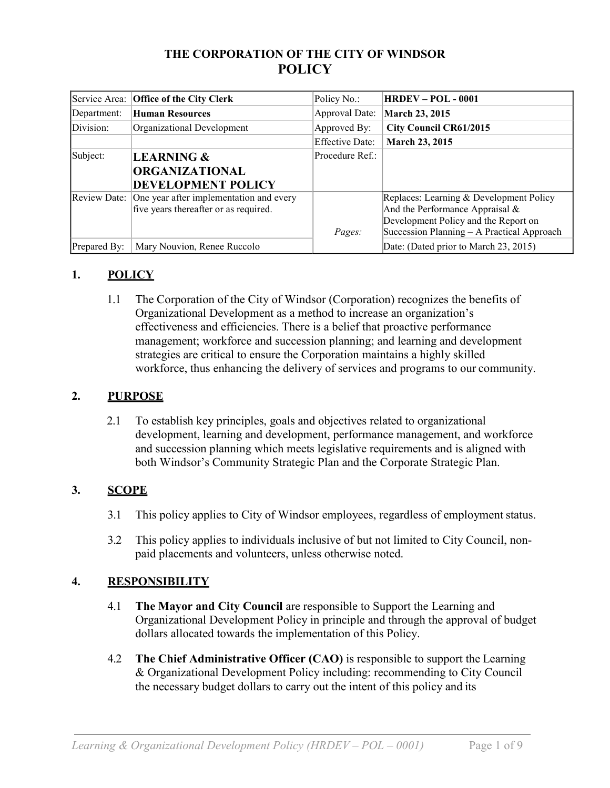# **THE CORPORATION OF THE CITY OF WINDSOR POLICY**

| Service Area: | <b>Office of the City Clerk</b>         | Policy No.:            | <b>HRDEV – POL - 0001</b>                  |
|---------------|-----------------------------------------|------------------------|--------------------------------------------|
| Department:   | <b>Human Resources</b>                  | Approval Date:         | March 23, 2015                             |
| Division:     | Organizational Development              | Approved By:           | <b>City Council CR61/2015</b>              |
|               |                                         | <b>Effective Date:</b> | <b>March 23, 2015</b>                      |
| Subject:      | <b>LEARNING &amp;</b>                   | Procedure Ref.:        |                                            |
|               | <b>ORGANIZATIONAL</b>                   |                        |                                            |
|               | DEVELOPMENT POLICY                      |                        |                                            |
| Review Date:  | One year after implementation and every |                        | Replaces: Learning & Development Policy    |
|               | five years thereafter or as required.   |                        | And the Performance Appraisal $\&$         |
|               |                                         |                        | Development Policy and the Report on       |
|               |                                         | Pages:                 | Succession Planning – A Practical Approach |
| Prepared By:  | Mary Nouvion, Renee Ruccolo             |                        | Date: (Dated prior to March 23, 2015)      |

# **1. POLICY**

1.1 The Corporation of the City of Windsor (Corporation) recognizes the benefits of Organizational Development as a method to increase an organization's effectiveness and efficiencies. There is a belief that proactive performance management; workforce and succession planning; and learning and development strategies are critical to ensure the Corporation maintains a highly skilled workforce, thus enhancing the delivery of services and programs to our community.

#### **2. PURPOSE**

2.1 To establish key principles, goals and objectives related to organizational development, learning and development, performance management, and workforce and succession planning which meets legislative requirements and is aligned with both Windsor's Community Strategic Plan and the Corporate Strategic Plan.

# **3. SCOPE**

- 3.1 This policy applies to City of Windsor employees, regardless of employment status.
- 3.2 This policy applies to individuals inclusive of but not limited to City Council, nonpaid placements and volunteers, unless otherwise noted.

# **4. RESPONSIBILITY**

- 4.1 **The Mayor and City Council** are responsible to Support the Learning and Organizational Development Policy in principle and through the approval of budget dollars allocated towards the implementation of this Policy.
- 4.2 **The Chief Administrative Officer (CAO)** is responsible to support the Learning & Organizational Development Policy including: recommending to City Council the necessary budget dollars to carry out the intent of this policy and its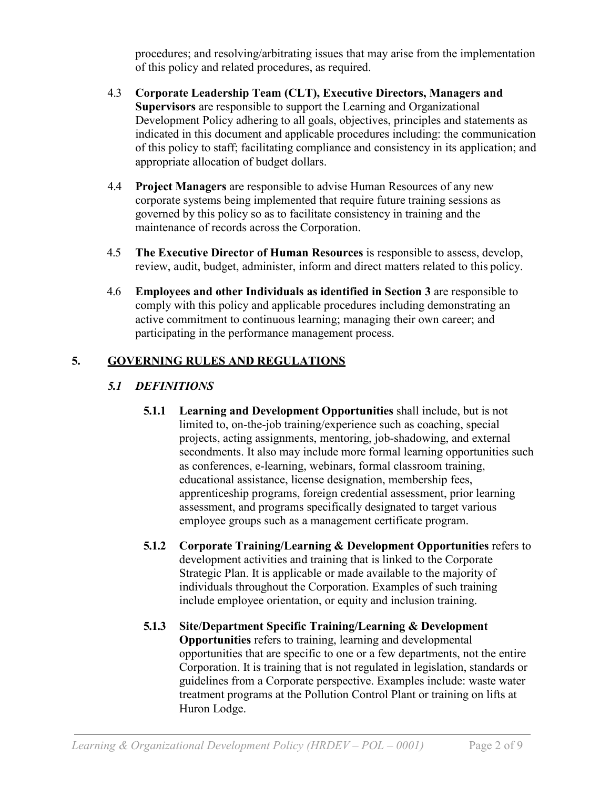procedures; and resolving/arbitrating issues that may arise from the implementation of this policy and related procedures, as required.

- 4.3 **Corporate Leadership Team (CLT), Executive Directors, Managers and Supervisors** are responsible to support the Learning and Organizational Development Policy adhering to all goals, objectives, principles and statements as indicated in this document and applicable procedures including: the communication of this policy to staff; facilitating compliance and consistency in its application; and appropriate allocation of budget dollars.
- 4.4 **Project Managers** are responsible to advise Human Resources of any new corporate systems being implemented that require future training sessions as governed by this policy so as to facilitate consistency in training and the maintenance of records across the Corporation.
- 4.5 **The Executive Director of Human Resources** is responsible to assess, develop, review, audit, budget, administer, inform and direct matters related to this policy.
- 4.6 **Employees and other Individuals as identified in Section 3** are responsible to comply with this policy and applicable procedures including demonstrating an active commitment to continuous learning; managing their own career; and participating in the performance management process.

# **5. GOVERNING RULES AND REGULATIONS**

# *5.1 DEFINITIONS*

- **5.1.1 Learning and Development Opportunities** shall include, but is not limited to, on-the-job training/experience such as coaching, special projects, acting assignments, mentoring, job-shadowing, and external secondments. It also may include more formal learning opportunities such as conferences, e-learning, webinars, formal classroom training, educational assistance, license designation, membership fees, apprenticeship programs, foreign credential assessment, prior learning assessment, and programs specifically designated to target various employee groups such as a management certificate program.
- **5.1.2 Corporate Training/Learning & Development Opportunities** refers to development activities and training that is linked to the Corporate Strategic Plan. It is applicable or made available to the majority of individuals throughout the Corporation. Examples of such training include employee orientation, or equity and inclusion training.
- **5.1.3 Site/Department Specific Training/Learning & Development Opportunities** refers to training, learning and developmental opportunities that are specific to one or a few departments, not the entire Corporation. It is training that is not regulated in legislation, standards or guidelines from a Corporate perspective. Examples include: waste water treatment programs at the Pollution Control Plant or training on lifts at Huron Lodge.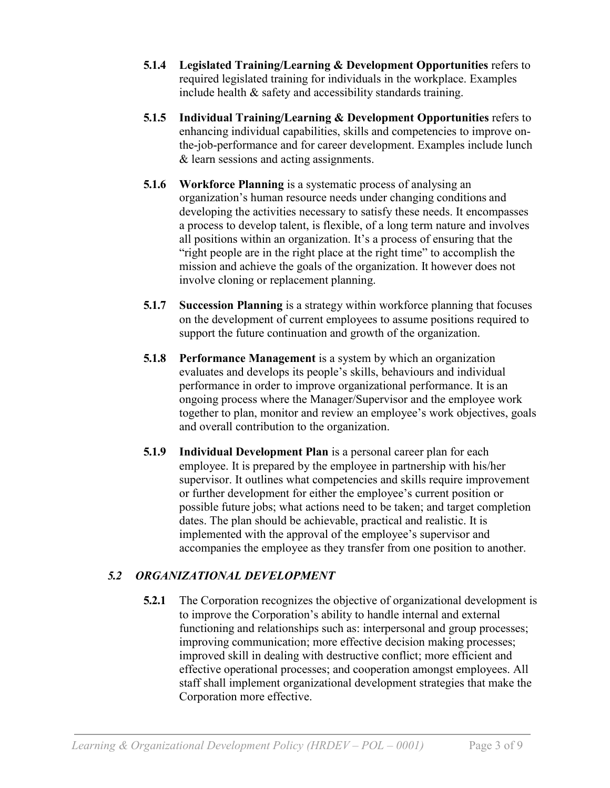- **5.1.4** Legislated Training/Learning & Development Opportunities refers to required legislated training for individuals in the workplace. Examples include health & safety and accessibility standards training.
- **5.1.5 Individual Training/Learning & Development Opportunities** refers to enhancing individual capabilities, skills and competencies to improve onthe-job-performance and for career development. Examples include lunch & learn sessions and acting assignments.
- **5.1.6 Workforce Planning** is a systematic process of analysing an organization's human resource needs under changing conditions and developing the activities necessary to satisfy these needs. It encompasses a process to develop talent, is flexible, of a long term nature and involves all positions within an organization. It's a process of ensuring that the "right people are in the right place at the right time" to accomplish the mission and achieve the goals of the organization. It however does not involve cloning or replacement planning.
- **5.1.7 Succession Planning** is a strategy within workforce planning that focuses on the development of current employees to assume positions required to support the future continuation and growth of the organization.
- **5.1.8 Performance Management** is a system by which an organization evaluates and develops its people's skills, behaviours and individual performance in order to improve organizational performance. It is an ongoing process where the Manager/Supervisor and the employee work together to plan, monitor and review an employee's work objectives, goals and overall contribution to the organization.
- **5.1.9 Individual Development Plan** is a personal career plan for each employee. It is prepared by the employee in partnership with his/her supervisor. It outlines what competencies and skills require improvement or further development for either the employee's current position or possible future jobs; what actions need to be taken; and target completion dates. The plan should be achievable, practical and realistic. It is implemented with the approval of the employee's supervisor and accompanies the employee as they transfer from one position to another.

# *5.2 ORGANIZATIONAL DEVELOPMENT*

**5.2.1** The Corporation recognizes the objective of organizational development is to improve the Corporation's ability to handle internal and external functioning and relationships such as: interpersonal and group processes; improving communication; more effective decision making processes; improved skill in dealing with destructive conflict; more efficient and effective operational processes; and cooperation amongst employees. All staff shall implement organizational development strategies that make the Corporation more effective.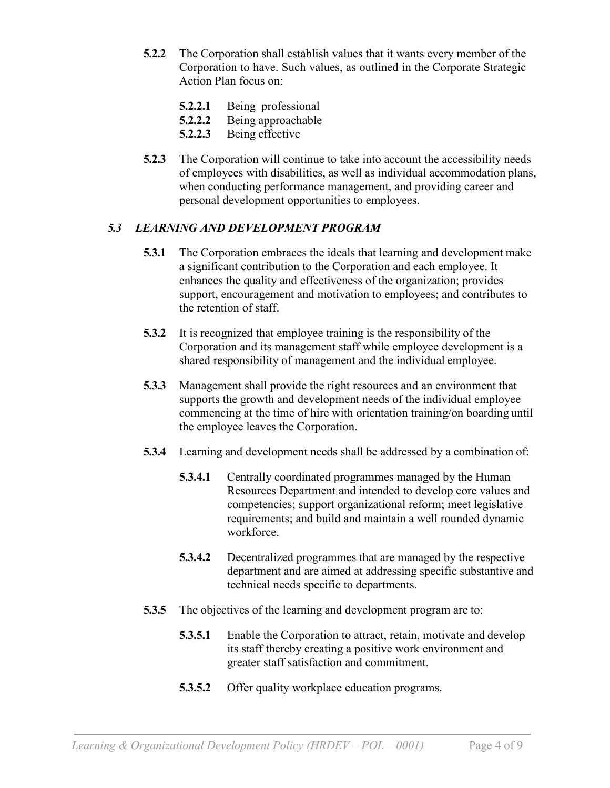- **5.2.2** The Corporation shall establish values that it wants every member of the Corporation to have. Such values, as outlined in the Corporate Strategic Action Plan focus on:
	- **5.2.2.1** Being professional
	- **5.2.2.2** Being approachable
	- **5.2.2.3** Being effective
- **5.2.3** The Corporation will continue to take into account the accessibility needs of employees with disabilities, as well as individual accommodation plans, when conducting performance management, and providing career and personal development opportunities to employees.

# *5.3 LEARNING AND DEVELOPMENT PROGRAM*

- **5.3.1** The Corporation embraces the ideals that learning and development make a significant contribution to the Corporation and each employee. It enhances the quality and effectiveness of the organization; provides support, encouragement and motivation to employees; and contributes to the retention of staff.
- **5.3.2** It is recognized that employee training is the responsibility of the Corporation and its management staff while employee development is a shared responsibility of management and the individual employee.
- **5.3.3** Management shall provide the right resources and an environment that supports the growth and development needs of the individual employee commencing at the time of hire with orientation training/on boarding until the employee leaves the Corporation.
- **5.3.4** Learning and development needs shall be addressed by a combination of:
	- **5.3.4.1** Centrally coordinated programmes managed by the Human Resources Department and intended to develop core values and competencies; support organizational reform; meet legislative requirements; and build and maintain a well rounded dynamic workforce.
	- **5.3.4.2** Decentralized programmes that are managed by the respective department and are aimed at addressing specific substantive and technical needs specific to departments.
- **5.3.5** The objectives of the learning and development program are to:
	- **5.3.5.1** Enable the Corporation to attract, retain, motivate and develop its staff thereby creating a positive work environment and greater staff satisfaction and commitment.
	- **5.3.5.2** Offer quality workplace education programs.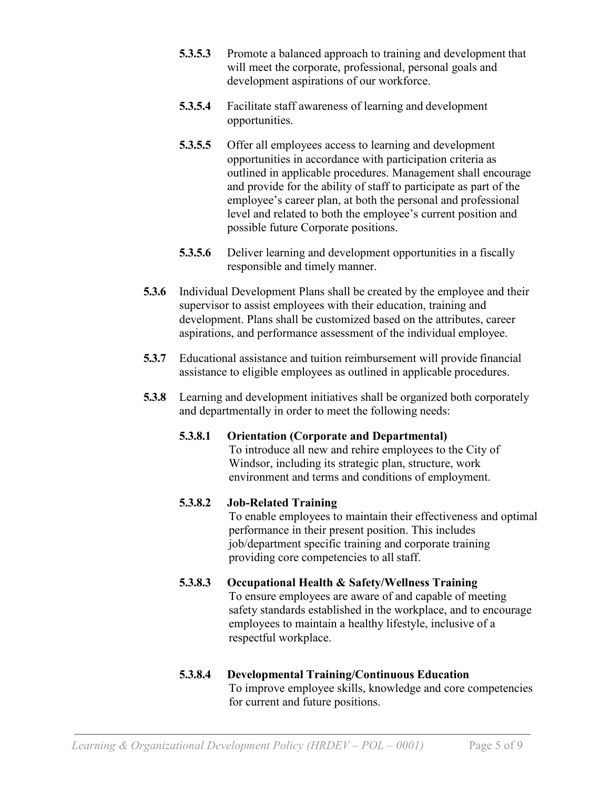- **5.3.5.3** Promote a balanced approach to training and development that will meet the corporate, professional, personal goals and development aspirations of our workforce.
- **5.3.5.4** Facilitate staff awareness of learning and development opportunities.
- **5.3.5.5** Offer all employees access to learning and development opportunities in accordance with participation criteria as outlined in applicable procedures. Management shall encourage and provide for the ability of staff to participate as part of the employee's career plan, at both the personal and professional level and related to both the employee's current position and possible future Corporate positions.
- **5.3.5.6** Deliver learning and development opportunities in a fiscally responsible and timely manner.
- **5.3.6** Individual Development Plans shall be created by the employee and their supervisor to assist employees with their education, training and development. Plans shall be customized based on the attributes, career aspirations, and performance assessment of the individual employee.
- **5.3.7** Educational assistance and tuition reimbursement will provide financial assistance to eligible employees as outlined in applicable procedures.
- **5.3.8** Learning and development initiatives shall be organized both corporately and departmentally in order to meet the following needs:

# **5.3.8.1 Orientation (Corporate and Departmental)** To introduce all new and rehire employees to the City of

Windsor, including its strategic plan, structure, work environment and terms and conditions of employment.

# **5.3.8.2 Job-Related Training**

To enable employees to maintain their effectiveness and optimal performance in their present position. This includes job/department specific training and corporate training providing core competencies to all staff.

#### **5.3.8.3 Occupational Health & Safety/Wellness Training** To ensure employees are aware of and capable of meeting safety standards established in the workplace, and to encourage employees to maintain a healthy lifestyle, inclusive of a respectful workplace.

#### **5.3.8.4 Developmental Training/Continuous Education** To improve employee skills, knowledge and core competencies for current and future positions.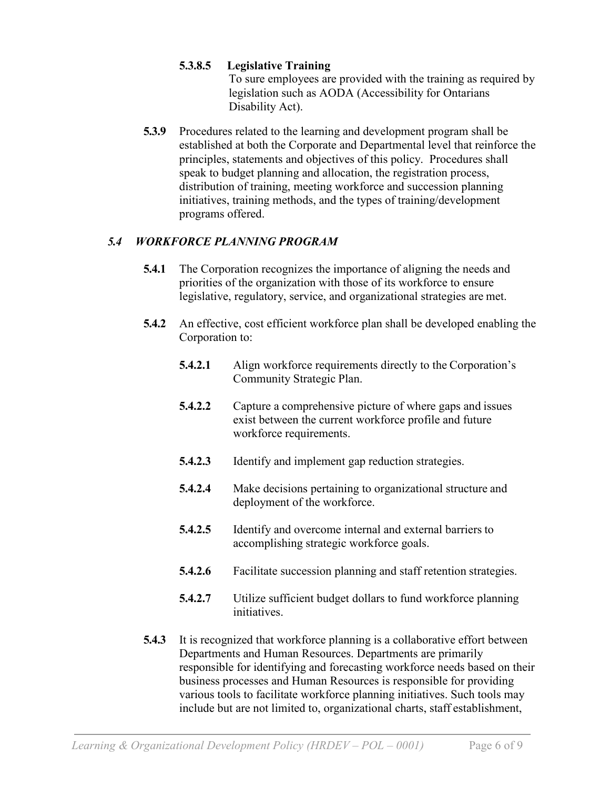# **5.3.8.5 Legislative Training**

To sure employees are provided with the training as required by legislation such as AODA (Accessibility for Ontarians Disability Act).

**5.3.9** Procedures related to the learning and development program shall be established at both the Corporate and Departmental level that reinforce the principles, statements and objectives of this policy. Procedures shall speak to budget planning and allocation, the registration process, distribution of training, meeting workforce and succession planning initiatives, training methods, and the types of training/development programs offered.

# *5.4 WORKFORCE PLANNING PROGRAM*

- **5.4.1** The Corporation recognizes the importance of aligning the needs and priorities of the organization with those of its workforce to ensure legislative, regulatory, service, and organizational strategies are met.
- **5.4.2** An effective, cost efficient workforce plan shall be developed enabling the Corporation to:
	- **5.4.2.1** Align workforce requirements directly to the Corporation's Community Strategic Plan.
	- **5.4.2.2** Capture a comprehensive picture of where gaps and issues exist between the current workforce profile and future workforce requirements.
	- **5.4.2.3** Identify and implement gap reduction strategies.
	- **5.4.2.4** Make decisions pertaining to organizational structure and deployment of the workforce.
	- **5.4.2.5** Identify and overcome internal and external barriers to accomplishing strategic workforce goals.
	- **5.4.2.6** Facilitate succession planning and staff retention strategies.
	- **5.4.2.7** Utilize sufficient budget dollars to fund workforce planning initiatives.
- **5.4.3** It is recognized that workforce planning is a collaborative effort between Departments and Human Resources. Departments are primarily responsible for identifying and forecasting workforce needs based on their business processes and Human Resources is responsible for providing various tools to facilitate workforce planning initiatives. Such tools may include but are not limited to, organizational charts, staff establishment,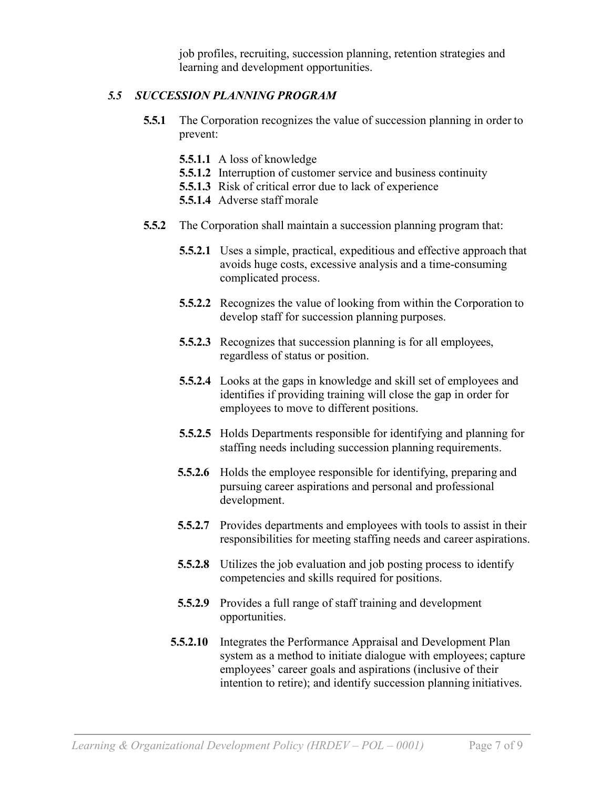job profiles, recruiting, succession planning, retention strategies and learning and development opportunities.

#### *5.5 SUCCESSION PLANNING PROGRAM*

- **5.5.1** The Corporation recognizes the value of succession planning in order to prevent:
	- **5.5.1.1** A loss of knowledge
	- **5.5.1.2** Interruption of customer service and business continuity
	- **5.5.1.3** Risk of critical error due to lack of experience
	- **5.5.1.4** Adverse staff morale
- **5.5.2** The Corporation shall maintain a succession planning program that:
	- **5.5.2.1** Uses a simple, practical, expeditious and effective approach that avoids huge costs, excessive analysis and a time-consuming complicated process.
	- **5.5.2.2** Recognizes the value of looking from within the Corporation to develop staff for succession planning purposes.
	- **5.5.2.3** Recognizes that succession planning is for all employees, regardless of status or position.
	- **5.5.2.4** Looks at the gaps in knowledge and skill set of employees and identifies if providing training will close the gap in order for employees to move to different positions.
	- **5.5.2.5** Holds Departments responsible for identifying and planning for staffing needs including succession planning requirements.
	- **5.5.2.6** Holds the employee responsible for identifying, preparing and pursuing career aspirations and personal and professional development.
	- **5.5.2.7** Provides departments and employees with tools to assist in their responsibilities for meeting staffing needs and career aspirations.
	- **5.5.2.8** Utilizes the job evaluation and job posting process to identify competencies and skills required for positions.
	- **5.5.2.9** Provides a full range of staff training and development opportunities.
	- **5.5.2.10** Integrates the Performance Appraisal and Development Plan system as a method to initiate dialogue with employees; capture employees' career goals and aspirations (inclusive of their intention to retire); and identify succession planning initiatives.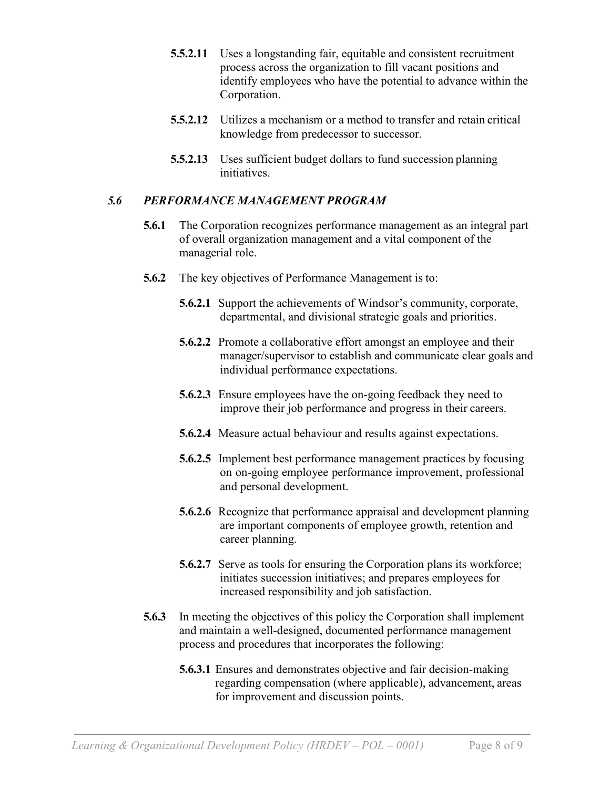- **5.5.2.11** Uses a longstanding fair, equitable and consistent recruitment process across the organization to fill vacant positions and identify employees who have the potential to advance within the Corporation.
- **5.5.2.12** Utilizes a mechanism or a method to transfer and retain critical knowledge from predecessor to successor.
- **5.5.2.13** Uses sufficient budget dollars to fund succession planning initiatives.

#### *5.6 PERFORMANCE MANAGEMENT PROGRAM*

- **5.6.1** The Corporation recognizes performance management as an integral part of overall organization management and a vital component of the managerial role.
- **5.6.2** The key objectives of Performance Management is to:
	- **5.6.2.1** Support the achievements of Windsor's community, corporate, departmental, and divisional strategic goals and priorities.
	- **5.6.2.2** Promote a collaborative effort amongst an employee and their manager/supervisor to establish and communicate clear goals and individual performance expectations.
	- **5.6.2.3** Ensure employees have the on-going feedback they need to improve their job performance and progress in their careers.
	- **5.6.2.4** Measure actual behaviour and results against expectations.
	- **5.6.2.5** Implement best performance management practices by focusing on on-going employee performance improvement, professional and personal development.
	- **5.6.2.6** Recognize that performance appraisal and development planning are important components of employee growth, retention and career planning.
	- **5.6.2.7** Serve as tools for ensuring the Corporation plans its workforce; initiates succession initiatives; and prepares employees for increased responsibility and job satisfaction.
- **5.6.3** In meeting the objectives of this policy the Corporation shall implement and maintain a well-designed, documented performance management process and procedures that incorporates the following:
	- **5.6.3.1** Ensures and demonstrates objective and fair decision-making regarding compensation (where applicable), advancement, areas for improvement and discussion points.